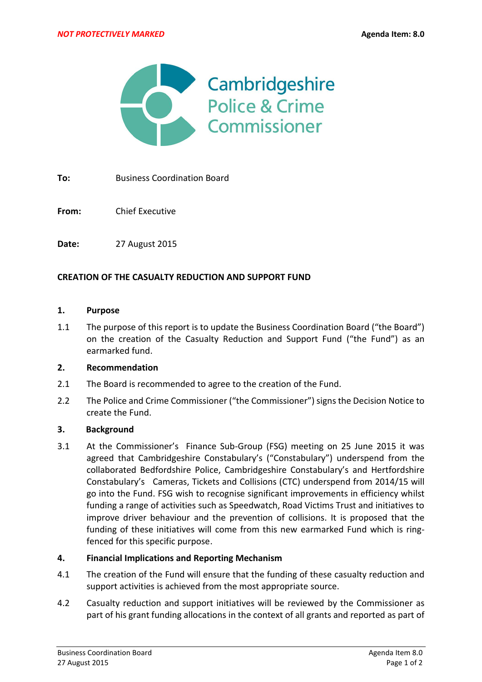

**To:** Business Coordination Board

**From:** Chief Executive

**Date:** 27 August 2015

### **CREATION OF THE CASUALTY REDUCTION AND SUPPORT FUND**

#### **1. Purpose**

1.1 The purpose of this report is to update the Business Coordination Board ("the Board") on the creation of the Casualty Reduction and Support Fund ("the Fund") as an earmarked fund.

### **2. Recommendation**

- 2.1 The Board is recommended to agree to the creation of the Fund.
- 2.2 The Police and Crime Commissioner ("the Commissioner") signs the Decision Notice to create the Fund.

### **3. Background**

3.1 At the Commissioner's Finance Sub-Group (FSG) meeting on 25 June 2015 it was agreed that Cambridgeshire Constabulary's ("Constabulary") underspend from the collaborated Bedfordshire Police, Cambridgeshire Constabulary's and Hertfordshire Constabulary's Cameras, Tickets and Collisions (CTC) underspend from 2014/15 will go into the Fund. FSG wish to recognise significant improvements in efficiency whilst funding a range of activities such as Speedwatch, Road Victims Trust and initiatives to improve driver behaviour and the prevention of collisions. It is proposed that the funding of these initiatives will come from this new earmarked Fund which is ringfenced for this specific purpose.

### **4. Financial Implications and Reporting Mechanism**

- 4.1 The creation of the Fund will ensure that the funding of these casualty reduction and support activities is achieved from the most appropriate source.
- 4.2 Casualty reduction and support initiatives will be reviewed by the Commissioner as part of his grant funding allocations in the context of all grants and reported as part of